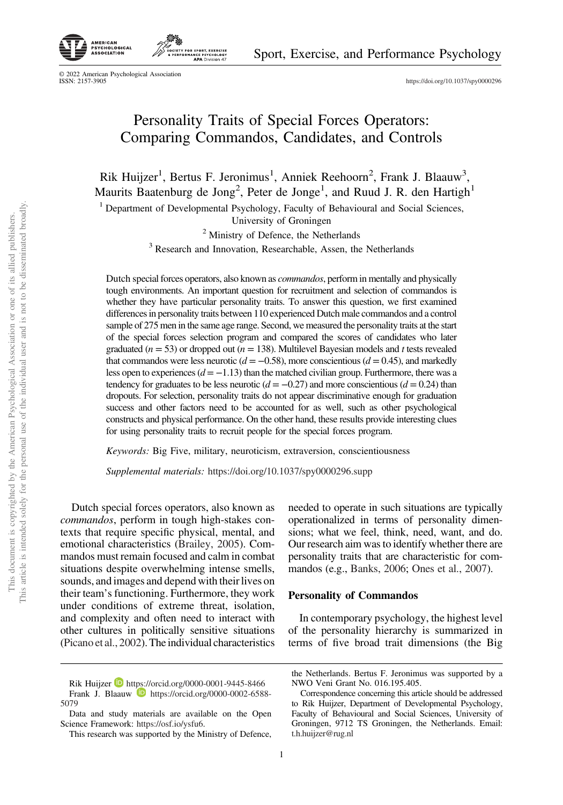

AMERICAN<br>PSYCHOLOGICAL

PSYCHOLOG<br>ASSOCIATIO

https://doi.org/10.1037/spy0000296

# Personality Traits of Special Forces Operators: Comparing Commandos, Candidates, and Controls

SPORT, EXERCIS<br>INCE PSYCHOLOG<br>**APA** Division 4

Rik Huijzer<sup>1</sup>, Bertus F. Jeronimus<sup>1</sup>, Anniek Reehoorn<sup>2</sup>, Frank J. Blaauw<sup>3</sup>, Maurits Baatenburg de Jong<sup>2</sup>, Peter de Jonge<sup>1</sup>, and Ruud J. R. den Hartigh<sup>1</sup>

<sup>1</sup> Department of Developmental Psychology, Faculty of Behavioural and Social Sciences,

University of Groningen

<sup>2</sup> Ministry of Defence, the Netherlands

<sup>3</sup> Research and Innovation, Researchable, Assen, the Netherlands

Dutch special forces operators, also known as *commandos*, perform in mentally and physically tough environments. An important question for recruitment and selection of commandos is whether they have particular personality traits. To answer this question, we first examined differences in personality traits between 110 experienced Dutch male commandos and a control sample of 275 men in the same age range. Second, we measured the personality traits at the start of the special forces selection program and compared the scores of candidates who later graduated (*n* = 53) or dropped out (*n* = 138). Multilevel Bayesian models and *t* tests revealed that commandos were less neurotic  $(d = -0.58)$ , more conscientious  $(d = 0.45)$ , and markedly less open to experiences (*d* = −1.13) than the matched civilian group. Furthermore, there was a tendency for graduates to be less neurotic  $(d = -0.27)$  and more conscientious  $(d = 0.24)$  than dropouts. For selection, personality traits do not appear discriminative enough for graduation success and other factors need to be accounted for as well, such as other psychological constructs and physical performance. On the other hand, these results provide interesting clues for using personality traits to recruit people for the special forces program.

*Keywords:* Big Five, military, neuroticism, extraversion, conscientiousness

*Supplemental materials:* https://doi.org/10.1037/spy0000296.supp

Dutch special forces operators, also known as *commandos*, perform in tough high-stakes contexts that require specific physical, mental, and emotional characteristics (Brailey, 2005). Commandos must remain focused and calm in combat situations despite overwhelming intense smells, sounds, and images and depend with their lives on their team's functioning. Furthermore, they work under conditions of extreme threat, isolation, and complexity and often need to interact with other cultures in politically sensitive situations (Picano et al., 2002). The individual characteristics needed to operate in such situations are typically operationalized in terms of personality dimensions; what we feel, think, need, want, and do. Our research aim was to identify whether there are personality traits that are characteristic for commandos (e.g., Banks, 2006; Ones et al., 2007).

# Personality of Commandos

In contemporary psychology, the highest level of the personality hierarchy is summarized in terms of five broad trait dimensions (the Big

Rik Huijzer https://orcid.org/0000-0001-9445-8466

Frank J. Blaauw **https://orcid.org/0000-0002-6588-**5079

Data and study materials are available on the Open Science Framework: https://osf.io/ysfu6.

This research was supported by the Ministry of Defence,

the Netherlands. Bertus F. Jeronimus was supported by a NWO Veni Grant No. 016.195.405.

Correspondence concerning this article should be addressed to Rik Huijzer, Department of Developmental Psychology, Faculty of Behavioural and Social Sciences, University of Groningen, 9712 TS Groningen, the Netherlands. Email: t.h.huijzer@rug.nl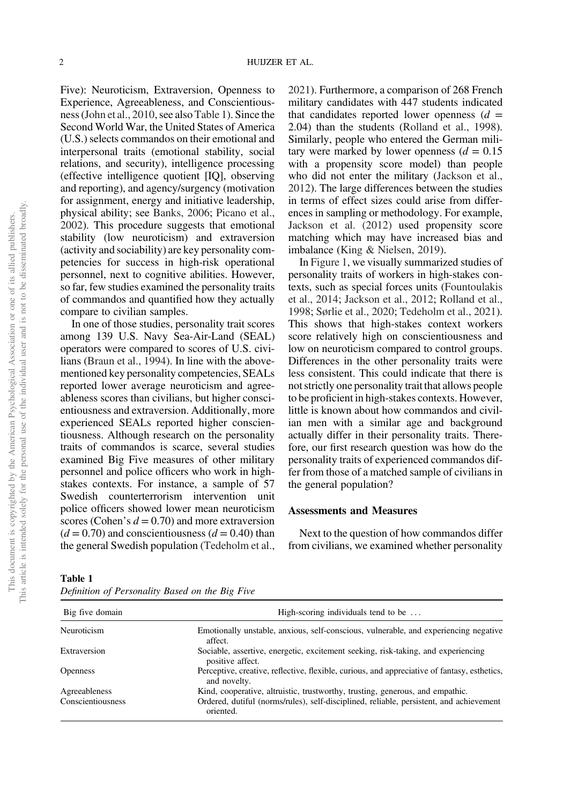Five): Neuroticism, Extraversion, Openness to Experience, Agreeableness, and Conscientiousness (John et al., 2010, see also Table 1). Since the Second World War, the United States of America (U.S.) selects commandos on their emotional and interpersonal traits (emotional stability, social relations, and security), intelligence processing (effective intelligence quotient [IQ], observing and reporting), and agency/surgency (motivation for assignment, energy and initiative leadership, physical ability; see Banks, 2006; Picano et al., 2002). This procedure suggests that emotional stability (low neuroticism) and extraversion (activity and sociability) are key personality competencies for success in high-risk operational personnel, next to cognitive abilities. However, so far, few studies examined the personality traits of commandos and quantified how they actually compare to civilian samples.

In one of those studies, personality trait scores among 139 U.S. Navy Sea-Air-Land (SEAL) operators were compared to scores of U.S. civilians (Braun et al., 1994). In line with the abovementioned key personality competencies, SEALs reported lower average neuroticism and agreeableness scores than civilians, but higher conscientiousness and extraversion. Additionally, more experienced SEALs reported higher conscientiousness. Although research on the personality traits of commandos is scarce, several studies examined Big Five measures of other military personnel and police officers who work in highstakes contexts. For instance, a sample of 57 Swedish counterterrorism intervention unit police officers showed lower mean neuroticism scores (Cohen's  $d = 0.70$ ) and more extraversion  $(d = 0.70)$  and conscientiousness  $(d = 0.40)$  than the general Swedish population (Tedeholm et al., 2021). Furthermore, a comparison of 268 French military candidates with 447 students indicated that candidates reported lower openness  $(d =$ 2.04) than the students (Rolland et al., 1998). Similarly, people who entered the German military were marked by lower openness  $(d = 0.15)$ with a propensity score model) than people who did not enter the military (Jackson et al., 2012). The large differences between the studies in terms of effect sizes could arise from differences in sampling or methodology. For example, Jackson et al. (2012) used propensity score matching which may have increased bias and imbalance (King & Nielsen, 2019).

In Figure 1, we visually summarized studies of personality traits of workers in high-stakes contexts, such as special forces units (Fountoulakis et al., 2014; Jackson et al., 2012; Rolland et al., 1998; Sørlie et al., 2020; Tedeholm et al., 2021). This shows that high-stakes context workers score relatively high on conscientiousness and low on neuroticism compared to control groups. Differences in the other personality traits were less consistent. This could indicate that there is not strictly one personality trait that allows people to be proficient in high-stakes contexts. However, little is known about how commandos and civilian men with a similar age and background actually differ in their personality traits. Therefore, our first research question was how do the personality traits of experienced commandos differ from those of a matched sample of civilians in the general population?

# Assessments and Measures

Next to the question of how commandos differ from civilians, we examined whether personality

| Big five domain   | High-scoring individuals tend to be                                                                          |  |  |
|-------------------|--------------------------------------------------------------------------------------------------------------|--|--|
| Neuroticism       | Emotionally unstable, anxious, self-conscious, vulnerable, and experiencing negative<br>affect.              |  |  |
| Extraversion      | Sociable, assertive, energetic, excitement seeking, risk-taking, and experiencing<br>positive affect.        |  |  |
| <b>Openness</b>   | Perceptive, creative, reflective, flexible, curious, and appreciative of fantasy, esthetics,<br>and novelty. |  |  |
| Agreeableness     | Kind, cooperative, altruistic, trustworthy, trusting, generous, and empathic.                                |  |  |
| Conscientiousness | Ordered, dutiful (norms/rules), self-disciplined, reliable, persistent, and achievement<br>oriented.         |  |  |

Table 1 *De*fi*nition of Personality Based on the Big Five*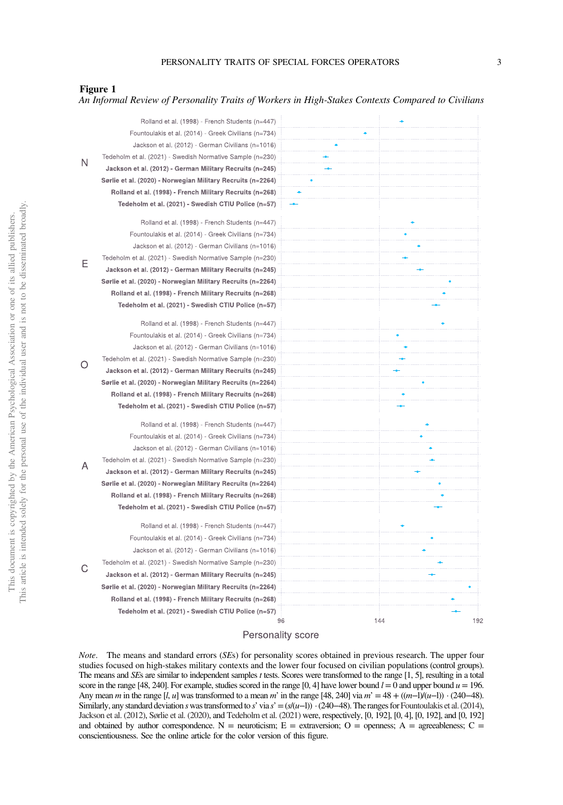## Figure 1

## *An Informal Review of Personality Traits of Workers in High-Stakes Contexts Compared to Civilians*

|   | Rolland et al. (1998) - French Students (n=447)             |    |            |
|---|-------------------------------------------------------------|----|------------|
| N | Fountoulakis et al. (2014) - Greek Civilians (n=734)        |    |            |
|   | Jackson et al. (2012) - German Civilians (n=1016)           |    |            |
|   | Tedeholm et al. (2021) - Swedish Normative Sample (n=230)   |    |            |
|   | Jackson et al. (2012) - German Military Recruits (n=245)    |    |            |
|   | Sørlie et al. (2020) - Norwegian Military Recruits (n=2264) |    |            |
|   | Rolland et al. (1998) - French Military Recruits (n=268)    |    |            |
|   | Tedeholm et al. (2021) - Swedish CTIU Police (n=57)         |    |            |
|   |                                                             |    |            |
|   | Rolland et al. (1998) - French Students (n=447)             |    |            |
|   | Fountoulakis et al. (2014) - Greek Civilians (n=734)        |    |            |
|   | Jackson et al. (2012) - German Civilians (n=1016)           |    |            |
| Е | Tedeholm et al. (2021) - Swedish Normative Sample (n=230)   |    |            |
|   | Jackson et al. (2012) - German Military Recruits (n=245)    |    |            |
|   | Sørlie et al. (2020) - Norwegian Military Recruits (n=2264) |    |            |
|   | Rolland et al. (1998) - French Military Recruits (n=268)    |    |            |
|   | Tedeholm et al. (2021) - Swedish CTIU Police (n=57)         |    |            |
|   | Rolland et al. (1998) - French Students (n=447)             |    |            |
|   | Fountoulakis et al. (2014) - Greek Civilians (n=734)        |    |            |
|   | Jackson et al. (2012) - German Civilians (n=1016)           |    |            |
|   | Tedeholm et al. (2021) - Swedish Normative Sample (n=230)   |    |            |
| Ω | Jackson et al. (2012) - German Military Recruits (n=245)    |    |            |
|   | Sørlie et al. (2020) - Norwegian Military Recruits (n=2264) |    |            |
|   | Rolland et al. (1998) - French Military Recruits (n=268)    |    |            |
|   | Tedeholm et al. (2021) - Swedish CTIU Police (n=57)         |    |            |
|   | Rolland et al. (1998) - French Students (n=447)             |    |            |
|   | Fountoulakis et al. (2014) - Greek Civilians (n=734)        |    |            |
|   | Jackson et al. (2012) - German Civilians (n=1016)           |    |            |
|   | Tedeholm et al. (2021) - Swedish Normative Sample (n=230)   |    |            |
| А | Jackson et al. (2012) - German Military Recruits (n=245)    |    |            |
|   | Sørlie et al. (2020) - Norwegian Military Recruits (n=2264) |    |            |
|   | Rolland et al. (1998) - French Military Recruits (n=268)    |    |            |
|   | Tedeholm et al. (2021) - Swedish CTIU Police (n=57)         |    |            |
|   |                                                             |    |            |
|   | Rolland et al. (1998) - French Students (n=447)             |    |            |
|   | Fountoulakis et al. (2014) - Greek Civilians (n=734)        |    |            |
|   | Jackson et al. (2012) - German Civilians (n=1016)           |    |            |
| С | Tedeholm et al. (2021) - Swedish Normative Sample (n=230)   |    |            |
|   | Jackson et al. (2012) - German Military Recruits (n=245)    |    |            |
|   | Sørlie et al. (2020) - Norwegian Military Recruits (n=2264) |    |            |
|   | Rolland et al. (1998) - French Military Recruits (n=268)    |    |            |
|   | Tedeholm et al. (2021) - Swedish CTIU Police (n=57)         |    |            |
|   |                                                             | 96 | 144<br>192 |

## Personality score

*Note*. The means and standard errors (*SE*s) for personality scores obtained in previous research. The upper four studies focused on high-stakes military contexts and the lower four focused on civilian populations (control groups). The means and *SE*s are similar to independent samples *t* tests. Scores were transformed to the range [1, 5], resulting in a total score in the range [48, 240]. For example, studies scored in the range [0, 4] have lower bound  $l = 0$  and upper bound  $u = 196$ . Any mean *m* in the range [*l*, *u*] was transformed to a mean *m*' in the range [48, 240] via *m*' = 48 + ((*m*−l)/(*u*−l)) · (240−48). Similarly, any standard deviation *s* was transformed to *s*' via  $s' = (s/(u-1)) \cdot (240-48)$ . The ranges for Fountoulakis et al. (2014), Jackson et al. (2012), Sørlie et al. (2020), and Tedeholm et al. (2021) were, respectively, [0, 192], [0, 4], [0, 192], and [0, 192] and obtained by author correspondence. N = neuroticism; E = extraversion; O = openness; A = agreeableness; C = conscientiousness. See the online article for the color version of this figure.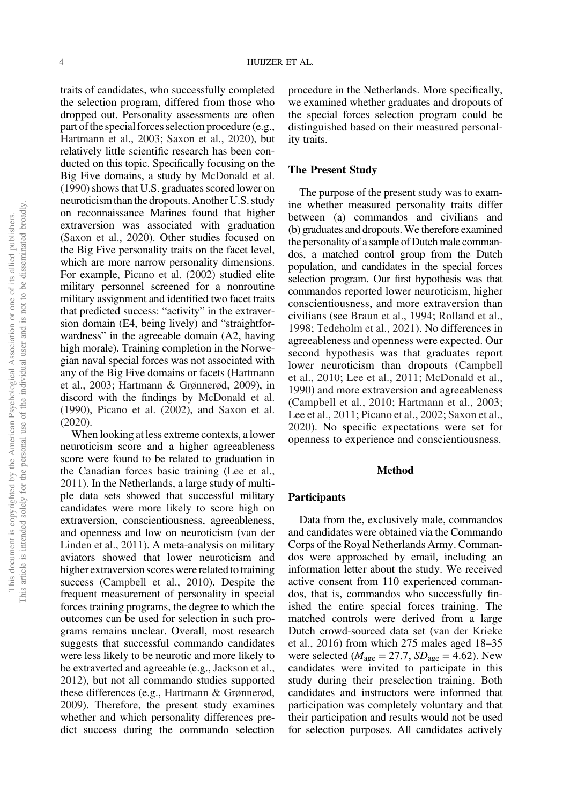traits of candidates, who successfully completed the selection program, differed from those who dropped out. Personality assessments are often part of the special forces selection procedure (e.g., Hartmann et al., 2003; Saxon et al., 2020), but relatively little scientific research has been conducted on this topic. Specifically focusing on the Big Five domains, a study by McDonald et al. (1990) shows that U.S. graduates scored lower on neuroticismthan the dropouts. Another U.S. study on reconnaissance Marines found that higher extraversion was associated with graduation (Saxon et al., 2020). Other studies focused on the Big Five personality traits on the facet level, which are more narrow personality dimensions. For example, Picano et al. (2002) studied elite military personnel screened for a nonroutine military assignment and identified two facet traits that predicted success: "activity" in the extraversion domain (E4, being lively) and "straightforwardness" in the agreeable domain (A2, having high morale). Training completion in the Norwegian naval special forces was not associated with any of the Big Five domains or facets (Hartmann et al., 2003; Hartmann & Grønnerød, 2009), in discord with the findings by McDonald et al. (1990), Picano et al. (2002), and Saxon et al. (2020).

When looking at less extreme contexts, a lower neuroticism score and a higher agreeableness score were found to be related to graduation in the Canadian forces basic training (Lee et al., 2011). In the Netherlands, a large study of multiple data sets showed that successful military candidates were more likely to score high on extraversion, conscientiousness, agreeableness, and openness and low on neuroticism (van der Linden et al., 2011). A meta-analysis on military aviators showed that lower neuroticism and higher extraversion scores were related to training success (Campbell et al., 2010). Despite the frequent measurement of personality in special forces training programs, the degree to which the outcomes can be used for selection in such programs remains unclear. Overall, most research suggests that successful commando candidates were less likely to be neurotic and more likely to be extraverted and agreeable (e.g., Jackson et al., 2012), but not all commando studies supported these differences (e.g., Hartmann & Grønnerød, 2009). Therefore, the present study examines whether and which personality differences predict success during the commando selection

procedure in the Netherlands. More specifically, we examined whether graduates and dropouts of the special forces selection program could be distinguished based on their measured personality traits.

### The Present Study

The purpose of the present study was to examine whether measured personality traits differ between (a) commandos and civilians and (b) graduates and dropouts. We therefore examined the personality of a sample of Dutch male commandos, a matched control group from the Dutch population, and candidates in the special forces selection program. Our first hypothesis was that commandos reported lower neuroticism, higher conscientiousness, and more extraversion than civilians (see Braun et al., 1994; Rolland et al., 1998; Tedeholm et al., 2021). No differences in agreeableness and openness were expected. Our second hypothesis was that graduates report lower neuroticism than dropouts (Campbell et al., 2010; Lee et al., 2011; McDonald et al., 1990) and more extraversion and agreeableness (Campbell et al., 2010; Hartmann et al., 2003; Lee et al., 2011; Picano et al., 2002; Saxon et al., 2020). No specific expectations were set for openness to experience and conscientiousness.

#### Method

### Participants

Data from the, exclusively male, commandos and candidates were obtained via the Commando Corps of the Royal Netherlands Army. Commandos were approached by email, including an information letter about the study. We received active consent from 110 experienced commandos, that is, commandos who successfully finished the entire special forces training. The matched controls were derived from a large Dutch crowd-sourced data set (van der Krieke et al., 2016) from which 275 males aged 18–35 were selected ( $M_{\text{age}} = 27.7$ ,  $SD_{\text{age}} = 4.62$ ). New candidates were invited to participate in this study during their preselection training. Both candidates and instructors were informed that participation was completely voluntary and that their participation and results would not be used for selection purposes. All candidates actively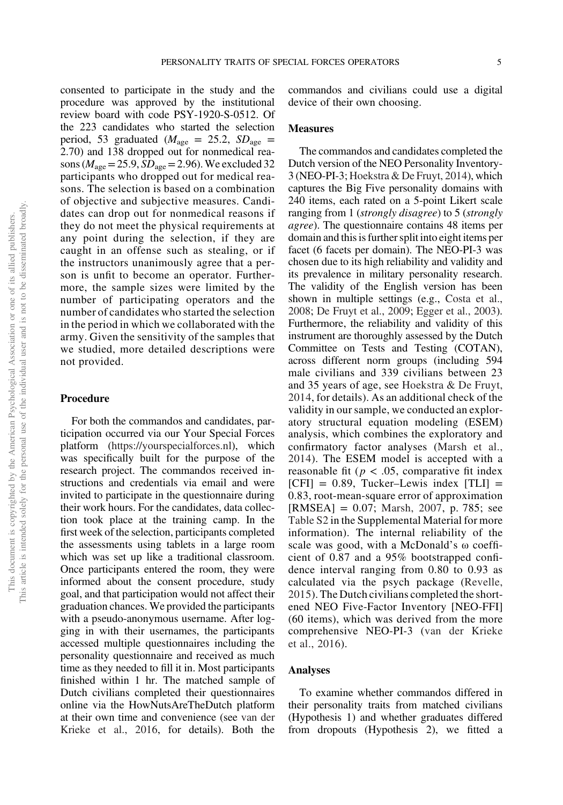consented to participate in the study and the procedure was approved by the institutional review board with code PSY-1920-S-0512. Of the 223 candidates who started the selection period, 53 graduated ( $M_{\text{age}} = 25.2$ ,  $SD_{\text{age}} =$ 2.70) and 138 dropped out for nonmedical reasons ( $M_{\text{age}}$  = 25.9,  $SD_{\text{age}}$  = 2.96). We excluded 32 participants who dropped out for medical reasons. The selection is based on a combination of objective and subjective measures. Candidates can drop out for nonmedical reasons if they do not meet the physical requirements at any point during the selection, if they are caught in an offense such as stealing, or if the instructors unanimously agree that a person is unfit to become an operator. Furthermore, the sample sizes were limited by the number of participating operators and the number of candidates who started the selection in the period in which we collaborated with the army. Given the sensitivity of the samples that we studied, more detailed descriptions were not provided.

#### Procedure

For both the commandos and candidates, participation occurred via our Your Special Forces platform (https://yourspecialforces.nl), which was specifically built for the purpose of the research project. The commandos received instructions and credentials via email and were invited to participate in the questionnaire during their work hours. For the candidates, data collection took place at the training camp. In the first week of the selection, participants completed the assessments using tablets in a large room which was set up like a traditional classroom. Once participants entered the room, they were informed about the consent procedure, study goal, and that participation would not affect their graduation chances. We provided the participants with a pseudo-anonymous username. After logging in with their usernames, the participants accessed multiple questionnaires including the personality questionnaire and received as much time as they needed to fill it in. Most participants finished within 1 hr. The matched sample of Dutch civilians completed their questionnaires online via the HowNutsAreTheDutch platform at their own time and convenience (see van der Krieke et al., 2016, for details). Both the commandos and civilians could use a digital device of their own choosing.

# **Measures**

The commandos and candidates completed the Dutch version of the NEO Personality Inventory-3 (NEO-PI-3; Hoekstra & De Fruyt, 2014), which captures the Big Five personality domains with 240 items, each rated on a 5-point Likert scale ranging from 1 (*strongly disagree*) to 5 (*strongly agree*). The questionnaire contains 48 items per domain and this is further split into eight items per facet (6 facets per domain). The NEO-PI-3 was chosen due to its high reliability and validity and its prevalence in military personality research. The validity of the English version has been shown in multiple settings (e.g., Costa et al., 2008; De Fruyt et al., 2009; Egger et al., 2003). Furthermore, the reliability and validity of this instrument are thoroughly assessed by the Dutch Committee on Tests and Testing (COTAN), across different norm groups (including 594 male civilians and 339 civilians between 23 and 35 years of age, see Hoekstra & De Fruyt, 2014, for details). As an additional check of the validity in our sample, we conducted an exploratory structural equation modeling (ESEM) analysis, which combines the exploratory and confirmatory factor analyses (Marsh et al., 2014). The ESEM model is accepted with a reasonable fit ( $p < .05$ , comparative fit index  $[CFI] = 0.89$ , Tucker–Lewis index  $[TLI] =$ 0.83, root-mean-square error of approximation  $[RMSEA] = 0.07$ ; Marsh, 2007, p. 785; see Table S2 in the Supplemental Material for more information). The internal reliability of the scale was good, with a McDonald's ω coefficient of 0.87 and a 95% bootstrapped confidence interval ranging from 0.80 to 0.93 as calculated via the psych package (Revelle, 2015). The Dutch civilians completed the shortened NEO Five-Factor Inventory [NEO-FFI] (60 items), which was derived from the more comprehensive NEO-PI-3 (van der Krieke et al., 2016).

#### Analyses

To examine whether commandos differed in their personality traits from matched civilians (Hypothesis 1) and whether graduates differed from dropouts (Hypothesis 2), we fitted a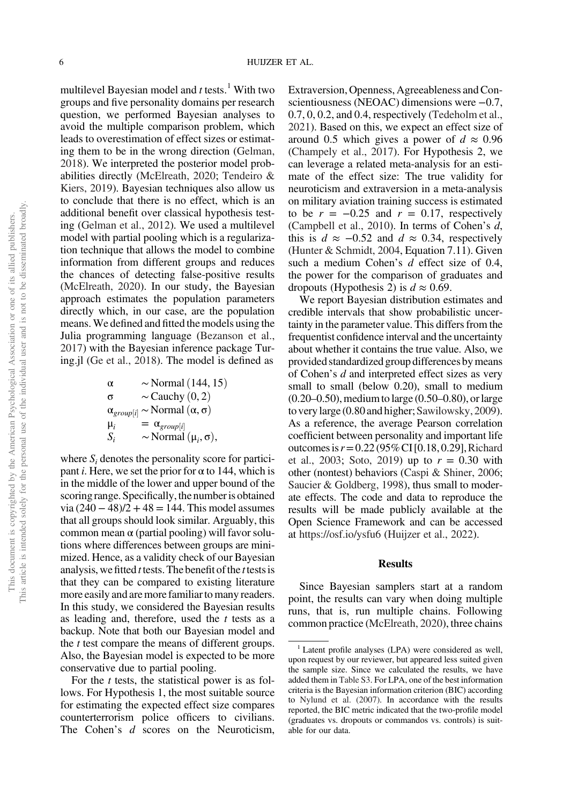multilevel Bayesian model and  $t$  tests.<sup>1</sup> With two groups and five personality domains per research question, we performed Bayesian analyses to avoid the multiple comparison problem, which leads to overestimation of effect sizes or estimating them to be in the wrong direction (Gelman, 2018). We interpreted the posterior model probabilities directly (McElreath, 2020; Tendeiro & Kiers, 2019). Bayesian techniques also allow us to conclude that there is no effect, which is an additional benefit over classical hypothesis testing (Gelman et al., 2012). We used a multilevel model with partial pooling which is a regularization technique that allows the model to combine information from different groups and reduces the chances of detecting false-positive results (McElreath, 2020). In our study, the Bayesian approach estimates the population parameters directly which, in our case, are the population means.We defined and fitted the models using the Julia programming language (Bezanson et al., 2017) with the Bayesian inference package Turing.jl (Ge et al., 2018). The model is defined as

$$
\alpha \sim \text{Normal} (144, 15)
$$
\n
$$
\sigma \sim \text{Cauchy} (0, 2)
$$
\n
$$
\alpha_{group[i]} \sim \text{Normal} (\alpha, \sigma)
$$
\n
$$
\mu_i = \alpha_{group[i]}
$$
\n
$$
S_i \sim \text{Normal} (\mu_i, \sigma),
$$

where  $S_i$  denotes the personality score for participant *i*. Here, we set the prior for  $\alpha$  to 144, which is in the middle of the lower and upper bound of the scoring range. Specifically, the number is obtained  $via (240 – 48)/2 + 48 = 144$ . This model assumes that all groups should look similar. Arguably, this common mean α (partial pooling) will favor solutions where differences between groups are minimized. Hence, as a validity check of our Bayesian analysis, wefitted *t* tests. The benefit of the *t* testsis that they can be compared to existing literature more easily and are more familiar to many readers. In this study, we considered the Bayesian results as leading and, therefore, used the *t* tests as a backup. Note that both our Bayesian model and the *t* test compare the means of different groups. Also, the Bayesian model is expected to be more conservative due to partial pooling.

For the *t* tests, the statistical power is as follows. For Hypothesis 1, the most suitable source for estimating the expected effect size compares counterterrorism police officers to civilians. The Cohen's *d* scores on the Neuroticism,

Extraversion, Openness, Agreeableness and Conscientiousness (NEOAC) dimensions were −0.7, 0.7, 0, 0.2, and 0.4, respectively (Tedeholm et al., 2021). Based on this, we expect an effect size of around 0.5 which gives a power of  $d \approx 0.96$ (Champely et al., 2017). For Hypothesis 2, we can leverage a related meta-analysis for an estimate of the effect size: The true validity for neuroticism and extraversion in a meta-analysis on military aviation training success is estimated to be  $r = -0.25$  and  $r = 0.17$ , respectively (Campbell et al., 2010). In terms of Cohen's *d*, this is  $d \approx -0.52$  and  $d \approx 0.34$ , respectively (Hunter & Schmidt, 2004, Equation 7.11). Given such a medium Cohen's *d* effect size of 0.4, the power for the comparison of graduates and dropouts (Hypothesis 2) is  $d \approx 0.69$ .

We report Bayesian distribution estimates and credible intervals that show probabilistic uncertainty in the parameter value. This differs from the frequentist confidence interval and the uncertainty about whether it contains the true value. Also, we provided standardized group differences by means of Cohen's *d* and interpreted effect sizes as very small to small (below 0.20), small to medium (0.20–0.50), medium to large (0.50–0.80), or large to very large (0.80 and higher; Sawilowsky, 2009). As a reference, the average Pearson correlation coefficient between personality and important life outcomes is*r*=0.22 (95%CI [0.18, 0.29],Richard et al., 2003; Soto, 2019) up to  $r = 0.30$  with other (nontest) behaviors (Caspi & Shiner, 2006; Saucier & Goldberg, 1998), thus small to moderate effects. The code and data to reproduce the results will be made publicly available at the Open Science Framework and can be accessed at https://osf.io/ysfu6 (Huijzer et al., 2022).

#### Results

Since Bayesian samplers start at a random point, the results can vary when doing multiple runs, that is, run multiple chains. Following common practice (McElreath, 2020), three chains

<sup>&</sup>lt;sup>1</sup> Latent profile analyses (LPA) were considered as well, upon request by our reviewer, but appeared less suited given the sample size. Since we calculated the results, we have added them in Table S3. For LPA, one of the best information criteria is the Bayesian information criterion (BIC) according to Nylund et al. (2007). In accordance with the results reported, the BIC metric indicated that the two-profile model (graduates vs. dropouts or commandos vs. controls) is suitable for our data.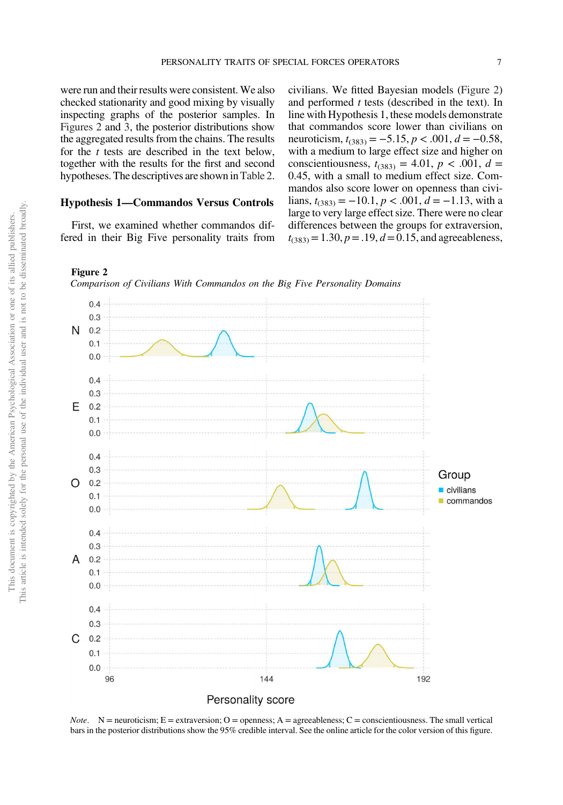were run and their results were consistent. We also checked stationarity and good mixing by visually inspecting graphs of the posterior samples. In Figures 2 and 3, the posterior distributions show the aggregated results from the chains. The results for the *t* tests are described in the text below, together with the results for the first and second hypotheses. The descriptives are shown inTable 2.

## Hypothesis 1—Commandos Versus Controls

First, we examined whether commandos differed in their Big Five personality traits from civilians. We fitted Bayesian models (Figure 2) and performed *t* tests (described in the text). In line with Hypothesis 1, these models demonstrate that commandos score lower than civilians on neuroticism,  $t_{(383)} = -5.15$ ,  $p < .001$ ,  $d = -0.58$ , with a medium to large effect size and higher on conscientiousness,  $t_{(383)} = 4.01$ ,  $p < .001$ ,  $d =$ 0.45, with a small to medium effect size. Commandos also score lower on openness than civilians,  $t_{(383)} = −10.1, p < .001, d = −1.13$ , with a large to very large effect size. There were no clear differences between the groups for extraversion,  $t_{(383)} = 1.30, p = .19, d = 0.15,$  and agreeableness,







*Note.*  $N =$  neuroticism;  $E =$  extraversion;  $O =$  openness;  $A =$  agreeableness;  $C =$  conscientiousness. The small vertical bars in the posterior distributions show the 95% credible interval. See the online article for the color version of this figure.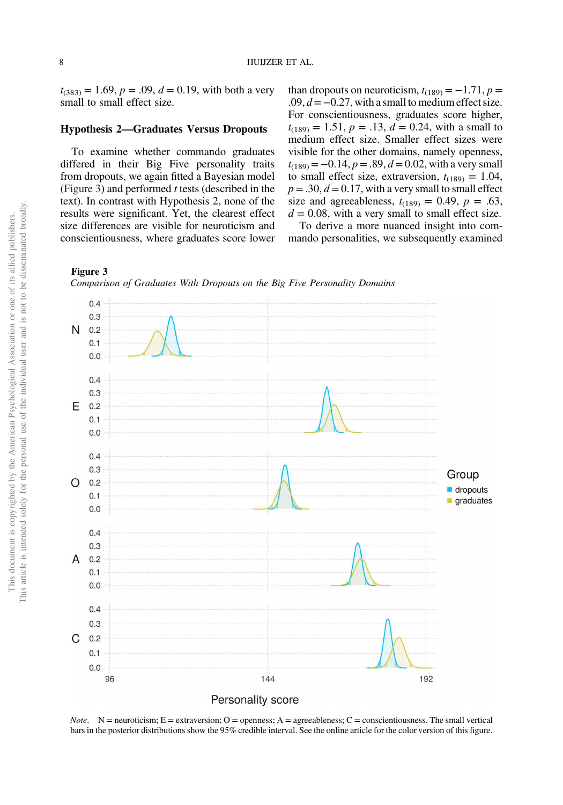$t_{(383)} = 1.69, p = .09, d = 0.19$ , with both a very small to small effect size.

## Hypothesis 2—Graduates Versus Dropouts

To examine whether commando graduates differed in their Big Five personality traits from dropouts, we again fitted a Bayesian model (Figure 3) and performed *t* tests (described in the text). In contrast with Hypothesis 2, none of the results were significant. Yet, the clearest effect size differences are visible for neuroticism and conscientiousness, where graduates score lower

than dropouts on neuroticism,  $t_{(189)} = -1.71$ ,  $p =$ .09, *d*=−0.27, with a small to medium effect size. For conscientiousness, graduates score higher,  $t_{(189)} = 1.51$ ,  $p = .13$ ,  $d = 0.24$ , with a small to medium effect size. Smaller effect sizes were visible for the other domains, namely openness,  $t_{(189)} = -0.14$ ,  $p = .89$ ,  $d = 0.02$ , with a very small to small effect size, extraversion,  $t_{(189)} = 1.04$ ,  $p = .30, d = 0.17$ , with a very small to small effect size and agreeableness,  $t_{(189)} = 0.49$ ,  $p = .63$ ,  $d = 0.08$ , with a very small to small effect size.

To derive a more nuanced insight into commando personalities, we subsequently examined



*Note.* N = neuroticism; E = extraversion; O = openness; A = agreeableness; C = conscientiousness. The small vertical bars in the posterior distributions show the 95% credible interval. See the online article for the color version of this figure.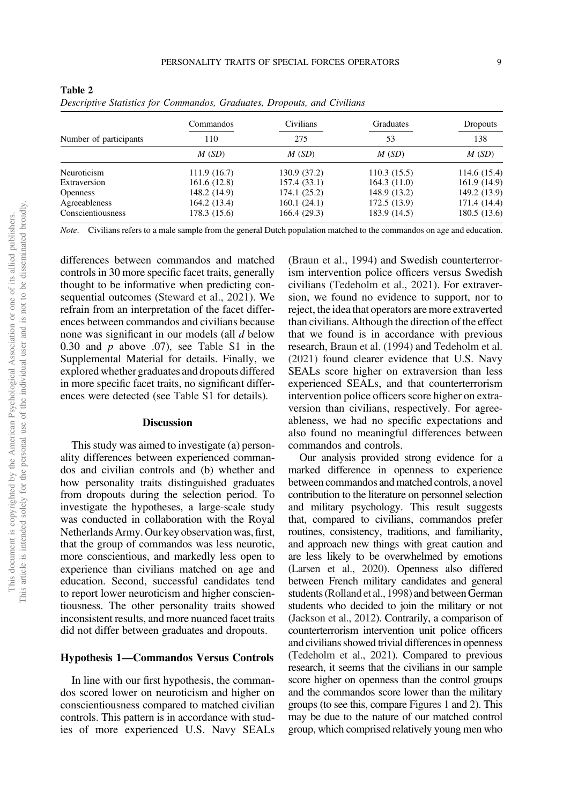|                        | Commandos    | Civilians    | Graduates    | <b>Dropouts</b><br>138 |
|------------------------|--------------|--------------|--------------|------------------------|
| Number of participants | 110          | 275          | 53           |                        |
|                        | M(SD)        | M(SD)        | M(SD)        | M(SD)                  |
| Neuroticism            | 111.9(16.7)  | 130.9 (37.2) | 110.3(15.5)  | 114.6 (15.4)           |
| Extraversion           | 161.6(12.8)  | 157.4(33.1)  | 164.3(11.0)  | 161.9 (14.9)           |
| <b>Openness</b>        | 148.2 (14.9) | 174.1(25.2)  | 148.9 (13.2) | 149.2 (13.9)           |
| Agreeableness          | 164.2(13.4)  | 160.1(24.1)  | 172.5(13.9)  | 171.4 (14.4)           |
| Conscientiousness      | 178.3 (15.6) | 166.4(29.3)  | 183.9 (14.5) | 180.5 (13.6)           |

Table 2

*Descriptive Statistics for Commandos, Graduates, Dropouts, and Civilians*

*Note.* Civilians refers to a male sample from the general Dutch population matched to the commandos on age and education.

differences between commandos and matched controls in 30 more specific facet traits, generally thought to be informative when predicting consequential outcomes (Steward et al., 2021). We refrain from an interpretation of the facet differences between commandos and civilians because none was significant in our models (all *d* below 0.30 and  $p$  above .07), see Table S1 in the Supplemental Material for details. Finally, we explored whether graduates and dropouts differed in more specific facet traits, no significant differences were detected (see Table S1 for details).

#### Discussion

This study was aimed to investigate (a) personality differences between experienced commandos and civilian controls and (b) whether and how personality traits distinguished graduates from dropouts during the selection period. To investigate the hypotheses, a large-scale study was conducted in collaboration with the Royal Netherlands Army. Our key observation was, first, that the group of commandos was less neurotic, more conscientious, and markedly less open to experience than civilians matched on age and education. Second, successful candidates tend to report lower neuroticism and higher conscientiousness. The other personality traits showed inconsistent results, and more nuanced facet traits did not differ between graduates and dropouts.

#### Hypothesis 1—Commandos Versus Controls

In line with our first hypothesis, the commandos scored lower on neuroticism and higher on conscientiousness compared to matched civilian controls. This pattern is in accordance with studies of more experienced U.S. Navy SEALs

(Braun et al., 1994) and Swedish counterterrorism intervention police officers versus Swedish civilians (Tedeholm et al., 2021). For extraversion, we found no evidence to support, nor to reject, the idea that operators are more extraverted than civilians. Although the direction of the effect that we found is in accordance with previous research, Braun et al. (1994) and Tedeholm et al. (2021) found clearer evidence that U.S. Navy SEALs score higher on extraversion than less experienced SEALs, and that counterterrorism intervention police officers score higher on extraversion than civilians, respectively. For agreeableness, we had no specific expectations and also found no meaningful differences between commandos and controls.

Our analysis provided strong evidence for a marked difference in openness to experience between commandos and matched controls, a novel contribution to the literature on personnel selection and military psychology. This result suggests that, compared to civilians, commandos prefer routines, consistency, traditions, and familiarity, and approach new things with great caution and are less likely to be overwhelmed by emotions (Larsen et al., 2020). Openness also differed between French military candidates and general students (Rolland et al., 1998) and between German students who decided to join the military or not (Jackson et al., 2012). Contrarily, a comparison of counterterrorism intervention unit police officers and civilians showed trivial differences in openness (Tedeholm et al., 2021). Compared to previous research, it seems that the civilians in our sample score higher on openness than the control groups and the commandos score lower than the military groups (to see this, compare Figures 1 and 2). This may be due to the nature of our matched control group, which comprised relatively young men who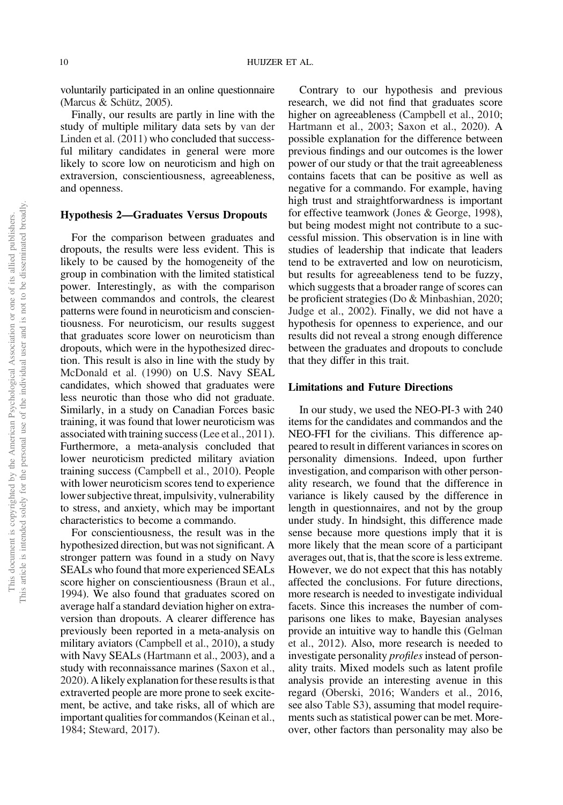voluntarily participated in an online questionnaire (Marcus & Schütz, 2005).

Finally, our results are partly in line with the study of multiple military data sets by van der Linden et al. (2011) who concluded that successful military candidates in general were more likely to score low on neuroticism and high on extraversion, conscientiousness, agreeableness, and openness.

#### Hypothesis 2—Graduates Versus Dropouts

For the comparison between graduates and dropouts, the results were less evident. This is likely to be caused by the homogeneity of the group in combination with the limited statistical power. Interestingly, as with the comparison between commandos and controls, the clearest patterns were found in neuroticism and conscientiousness. For neuroticism, our results suggest that graduates score lower on neuroticism than dropouts, which were in the hypothesized direction. This result is also in line with the study by McDonald et al. (1990) on U.S. Navy SEAL candidates, which showed that graduates were less neurotic than those who did not graduate. Similarly, in a study on Canadian Forces basic training, it was found that lower neuroticism was associated with training success (Lee et al., 2011). Furthermore, a meta-analysis concluded that lower neuroticism predicted military aviation training success (Campbell et al., 2010). People with lower neuroticism scores tend to experience lower subjective threat, impulsivity, vulnerability to stress, and anxiety, which may be important characteristics to become a commando.

For conscientiousness, the result was in the hypothesized direction, but was not significant. A stronger pattern was found in a study on Navy SEALs who found that more experienced SEALs score higher on conscientiousness (Braun et al., 1994). We also found that graduates scored on average half a standard deviation higher on extraversion than dropouts. A clearer difference has previously been reported in a meta-analysis on military aviators (Campbell et al., 2010), a study with Navy SEALs (Hartmann et al., 2003), and a study with reconnaissance marines (Saxon et al., 2020). A likely explanation for these results is that extraverted people are more prone to seek excitement, be active, and take risks, all of which are important qualities for commandos (Keinan et al., 1984; Steward, 2017).

Contrary to our hypothesis and previous research, we did not find that graduates score higher on agreeableness (Campbell et al., 2010; Hartmann et al., 2003; Saxon et al., 2020). A possible explanation for the difference between previous findings and our outcomes is the lower power of our study or that the trait agreeableness contains facets that can be positive as well as negative for a commando. For example, having high trust and straightforwardness is important for effective teamwork (Jones & George, 1998), but being modest might not contribute to a successful mission. This observation is in line with studies of leadership that indicate that leaders tend to be extraverted and low on neuroticism, but results for agreeableness tend to be fuzzy, which suggests that a broader range of scores can be proficient strategies (Do & Minbashian, 2020; Judge et al., 2002). Finally, we did not have a hypothesis for openness to experience, and our results did not reveal a strong enough difference between the graduates and dropouts to conclude that they differ in this trait.

# Limitations and Future Directions

In our study, we used the NEO-PI-3 with 240 items for the candidates and commandos and the NEO-FFI for the civilians. This difference appeared to result in different variances in scores on personality dimensions. Indeed, upon further investigation, and comparison with other personality research, we found that the difference in variance is likely caused by the difference in length in questionnaires, and not by the group under study. In hindsight, this difference made sense because more questions imply that it is more likely that the mean score of a participant averages out, that is, that the score is less extreme. However, we do not expect that this has notably affected the conclusions. For future directions, more research is needed to investigate individual facets. Since this increases the number of comparisons one likes to make, Bayesian analyses provide an intuitive way to handle this (Gelman et al., 2012). Also, more research is needed to investigate personality *profiles* instead of personality traits. Mixed models such as latent profile analysis provide an interesting avenue in this regard (Oberski, 2016; Wanders et al., 2016, see also Table S3), assuming that model requirements such as statistical power can be met. Moreover, other factors than personality may also be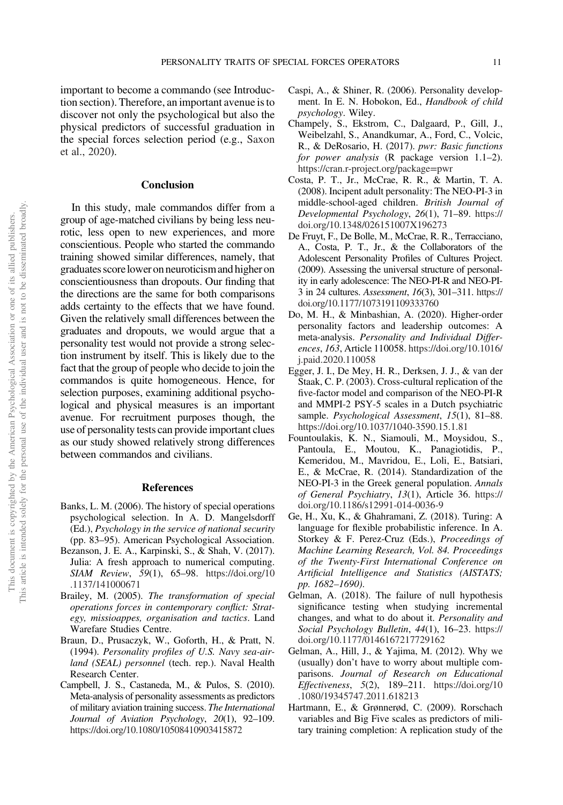important to become a commando (see Introduction section). Therefore, an important avenue is to discover not only the psychological but also the physical predictors of successful graduation in the special forces selection period (e.g., Saxon et al., 2020).

#### Conclusion

In this study, male commandos differ from a group of age-matched civilians by being less neurotic, less open to new experiences, and more conscientious. People who started the commando training showed similar differences, namely, that graduates scorelower on neuroticism and higher on conscientiousness than dropouts. Our finding that the directions are the same for both comparisons adds certainty to the effects that we have found. Given the relatively small differences between the graduates and dropouts, we would argue that a personality test would not provide a strong selection instrument by itself. This is likely due to the fact that the group of people who decide to join the commandos is quite homogeneous. Hence, for selection purposes, examining additional psychological and physical measures is an important avenue. For recruitment purposes though, the use of personality tests can provide important clues as our study showed relatively strong differences between commandos and civilians.

#### References

- Banks, L. M. (2006). The history of special operations psychological selection. In A. D. Mangelsdorff (Ed.), *Psychology in the service of national security* (pp. 83–95). American Psychological Association.
- Bezanson, J. E. A., Karpinski, S., & Shah, V. (2017). Julia: A fresh approach to numerical computing. *SIAM Review*, *59*(1), 65–98. https://doi.org/10 .1137/141000671
- Brailey, M. (2005). *The transformation of special operations forces in contemporary con*fl*ict: Strategy, missioappes, organisation and tactics*. Land Warefare Studies Centre.
- Braun, D., Prusaczyk, W., Goforth, H., & Pratt, N. (1994). *Personality pro*fi*les of U.S. Navy sea-airland (SEAL) personnel* (tech. rep.). Naval Health Research Center.
- Campbell, J. S., Castaneda, M., & Pulos, S. (2010). Meta-analysis of personality assessments as predictors of military aviation training success. *The International Journal of Aviation Psychology*, *20*(1), 92–109. https://doi.org/10.1080/10508410903415872
- Caspi, A., & Shiner, R. (2006). Personality development. In E. N. Hobokon, Ed., *Handbook of child psychology*. Wiley.
- Champely, S., Ekstrom, C., Dalgaard, P., Gill, J., Weibelzahl, S., Anandkumar, A., Ford, C., Volcic, R., & DeRosario, H. (2017). *pwr: Basic functions for power analysis* (R package version 1.1–2). https://cran.r-project.org/package=pwr
- Costa, P. T., Jr., McCrae, R. R., & Martin, T. A. (2008). Incipent adult personality: The NEO-PI-3 in middle-school-aged children. *British Journal of Developmental Psychology*, *26*(1), 71–89. https:// doi.org/10.1348/026151007X196273
- De Fruyt, F., De Bolle, M., McCrae, R. R., Terracciano, A., Costa, P. T., Jr., & the Collaborators of the Adolescent Personality Profiles of Cultures Project. (2009). Assessing the universal structure of personality in early adolescence: The NEO-PI-R and NEO-PI-3 in 24 cultures. *Assessment*, *16*(3), 301–311. https:// doi.org/10.1177/1073191109333760
- Do, M. H., & Minbashian, A. (2020). Higher-order personality factors and leadership outcomes: A meta-analysis. *Personality and Individual Differences*, *163*, Article 110058. https://doi.org/10.1016/ j.paid.2020.110058
- Egger, J. I., De Mey, H. R., Derksen, J. J., & van der Staak, C. P. (2003). Cross-cultural replication of the five-factor model and comparison of the NEO-PI-R and MMPI-2 PSY-5 scales in a Dutch psychiatric sample. *Psychological Assessment*, *15*(1), 81–88. https://doi.org/10.1037/1040-3590.15.1.81
- Fountoulakis, K. N., Siamouli, M., Moysidou, S., Pantoula, E., Moutou, K., Panagiotidis, P., Kemeridou, M., Mavridou, E., Loli, E., Batsiari, E., & McCrae, R. (2014). Standardization of the NEO-PI-3 in the Greek general population. *Annals of General Psychiatry*, *13*(1), Article 36. https:// doi.org/10.1186/s12991-014-0036-9
- Ge, H., Xu, K., & Ghahramani, Z. (2018). Turing: A language for flexible probabilistic inference. In A. Storkey & F. Perez-Cruz (Eds.), *Proceedings of Machine Learning Research, Vol. 84. Proceedings of the Twenty-First International Conference on Arti*fi*cial Intelligence and Statistics (AISTATS; pp. 1682*–*1690)*.
- Gelman, A. (2018). The failure of null hypothesis significance testing when studying incremental changes, and what to do about it. *Personality and Social Psychology Bulletin*, *44*(1), 16–23. https:// doi.org/10.1177/0146167217729162
- Gelman, A., Hill, J., & Yajima, M. (2012). Why we (usually) don't have to worry about multiple comparisons. *Journal of Research on Educational Effectiveness*, *5*(2), 189–211. https://doi.org/10 .1080/19345747.2011.618213
- Hartmann, E., & Grønnerød, C. (2009). Rorschach variables and Big Five scales as predictors of military training completion: A replication study of the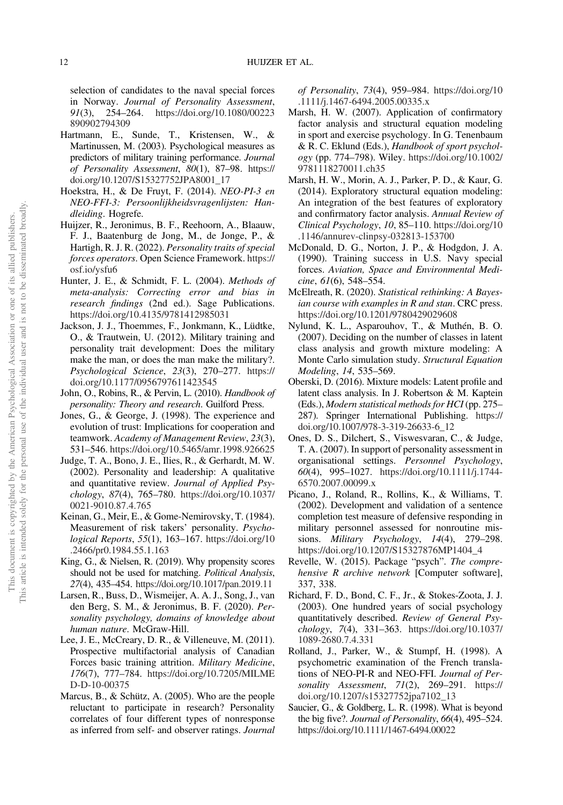selection of candidates to the naval special forces in Norway. *Journal of Personality Assessment*, *91*(3), 254–264. https://doi.org/10.1080/00223 890902794309

- Hartmann, E., Sunde, T., Kristensen, W., & Martinussen, M. (2003). Psychological measures as predictors of military training performance. *Journal of Personality Assessment*, *80*(1), 87–98. https:// doi.org/10.1207/S15327752JPA8001\_17
- Hoekstra, H., & De Fruyt, F. (2014). *NEO-PI-3 en NEO-FFI-3: Persoonlijkheidsvragenlijsten: Handleiding*. Hogrefe.
- Huijzer, R., Jeronimus, B. F., Reehoorn, A., Blaauw, F. J., Baatenburg de Jong, M., de Jonge, P., & Hartigh, R. J. R. (2022). *Personality traits of special forces operators*. Open Science Framework. https:// osf.io/ysfu6
- Hunter, J. E., & Schmidt, F. L. (2004). *Methods of meta-analysis: Correcting error and bias in research* fi*ndings* (2nd ed.). Sage Publications. https://doi.org/10.4135/9781412985031
- Jackson, J. J., Thoemmes, F., Jonkmann, K., Lüdtke, O., & Trautwein, U. (2012). Military training and personality trait development: Does the military make the man, or does the man make the military?. *Psychological Science*, *23*(3), 270–277. https:// doi.org/10.1177/0956797611423545
- John, O., Robins, R., & Pervin, L. (2010). *Handbook of personality: Theory and research*. Guilford Press.
- Jones, G., & George, J. (1998). The experience and evolution of trust: Implications for cooperation and teamwork. *Academy of Management Review*, *23*(3), 531–546. https://doi.org/10.5465/amr.1998.926625
- Judge, T. A., Bono, J. E., Ilies, R., & Gerhardt, M. W. (2002). Personality and leadership: A qualitative and quantitative review. *Journal of Applied Psychology*, *87*(4), 765–780. https://doi.org/10.1037/ 0021-9010.87.4.765
- Keinan, G., Meir, E., & Gome-Nemirovsky, T. (1984). Measurement of risk takers' personality. *Psychological Reports*, *55*(1), 163–167. https://doi.org/10 .2466/pr0.1984.55.1.163
- King, G., & Nielsen, R. (2019). Why propensity scores should not be used for matching. *Political Analysis*, *27*(4), 435–454. https://doi.org/10.1017/pan.2019.11
- Larsen, R., Buss, D., Wismeijer, A. A. J., Song, J., van den Berg, S. M., & Jeronimus, B. F. (2020). *Personality psychology, domains of knowledge about human nature*. McGraw-Hill.
- Lee, J. E., McCreary, D. R., & Villeneuve, M. (2011). Prospective multifactorial analysis of Canadian Forces basic training attrition. *Military Medicine*, *176*(7), 777–784. https://doi.org/10.7205/MILME D-D-10-00375
- Marcus, B., & Schütz, A. (2005). Who are the people reluctant to participate in research? Personality correlates of four different types of nonresponse as inferred from self- and observer ratings. *Journal*

*of Personality*, *73*(4), 959–984. https://doi.org/10 .1111/j.1467-6494.2005.00335.x

- Marsh, H. W. (2007). Application of confirmatory factor analysis and structural equation modeling in sport and exercise psychology. In G. Tenenbaum & R. C. Eklund (Eds.), *Handbook of sport psychology* (pp. 774–798). Wiley. https://doi.org/10.1002/ 9781118270011.ch35
- Marsh, H. W., Morin, A. J., Parker, P. D., & Kaur, G. (2014). Exploratory structural equation modeling: An integration of the best features of exploratory and confirmatory factor analysis. *Annual Review of Clinical Psychology*, *10*, 85–110. https://doi.org/10 .1146/annurev-clinpsy-032813-153700
- McDonald, D. G., Norton, J. P., & Hodgdon, J. A. (1990). Training success in U.S. Navy special forces. *Aviation, Space and Environmental Medicine*, *61*(6), 548–554.
- McElreath, R. (2020). *Statistical rethinking: A Bayesian course with examples in R and stan*. CRC press. https://doi.org/10.1201/9780429029608
- Nylund, K. L., Asparouhov, T., & Muthén, B. O. (2007). Deciding on the number of classes in latent class analysis and growth mixture modeling: A Monte Carlo simulation study. *Structural Equation Modeling*, *14*, 535–569.
- Oberski, D. (2016). Mixture models: Latent profile and latent class analysis. In J. Robertson & M. Kaptein (Eds.), *Modern statistical methods for HCI* (pp. 275– 287). Springer International Publishing. https:// doi.org/10.1007/978-3-319-26633-6\_12
- Ones, D. S., Dilchert, S., Viswesvaran, C., & Judge, T. A. (2007). In support of personality assessment in organisational settings. *Personnel Psychology*, *60*(4), 995–1027. https://doi.org/10.1111/j.1744- 6570.2007.00099.x
- Picano, J., Roland, R., Rollins, K., & Williams, T. (2002). Development and validation of a sentence completion test measure of defensive responding in military personnel assessed for nonroutine missions. *Military Psychology*, *14*(4), 279–298. https://doi.org/10.1207/S15327876MP1404\_4
- Revelle, W. (2015). Package "psych". *The comprehensive R archive network* [Computer software], 337, 338.
- Richard, F. D., Bond, C. F., Jr., & Stokes-Zoota, J. J. (2003). One hundred years of social psychology quantitatively described. *Review of General Psychology*, *7*(4), 331–363. https://doi.org/10.1037/ 1089-2680.7.4.331
- Rolland, J., Parker, W., & Stumpf, H. (1998). A psychometric examination of the French translations of NEO-PI-R and NEO-FFI. *Journal of Personality Assessment*, *71*(2), 269–291. https:// doi.org/10.1207/s15327752jpa7102\_13
- Saucier, G., & Goldberg, L. R. (1998). What is beyond the big five?. *Journal of Personality*, *66*(4), 495–524. https://doi.org/10.1111/1467-6494.00022